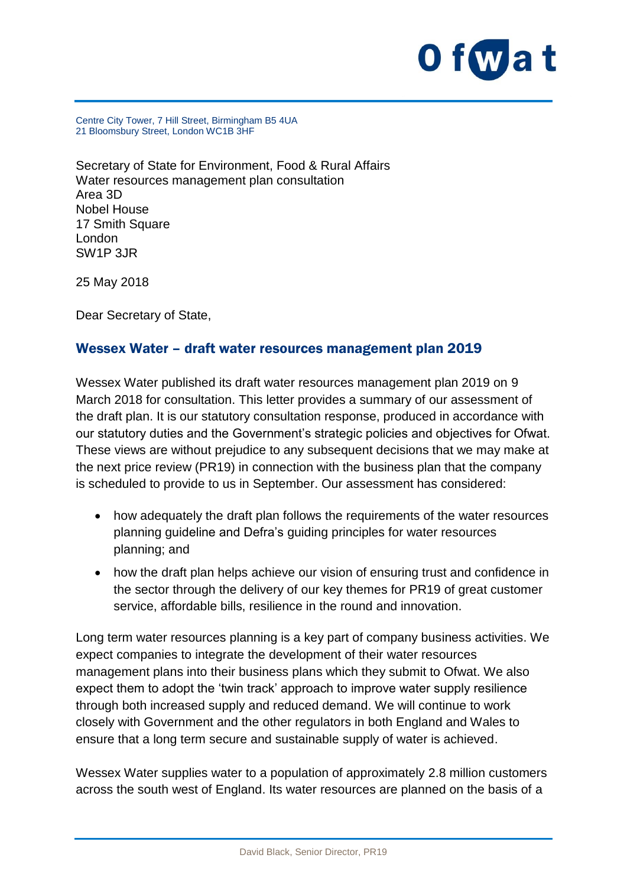

Centre City Tower, 7 Hill Street, Birmingham B5 4UA 21 Bloomsbury Street, London WC1B 3HF

Secretary of State for Environment, Food & Rural Affairs Water resources management plan consultation Area 3D Nobel House 17 Smith Square London SW1P 3JR

25 May 2018

Dear Secretary of State,

#### Wessex Water – draft water resources management plan 2019

Wessex Water published its draft water resources management plan 2019 on 9 March 2018 for consultation. This letter provides a summary of our assessment of the draft plan. It is our statutory consultation response, produced in accordance with our statutory duties and the Government's strategic policies and objectives for Ofwat. These views are without prejudice to any subsequent decisions that we may make at the next price review (PR19) in connection with the business plan that the company is scheduled to provide to us in September. Our assessment has considered:

- how adequately the draft plan follows the requirements of the water resources planning guideline and Defra's guiding principles for water resources planning; and
- how the draft plan helps achieve our vision of ensuring trust and confidence in the sector through the delivery of our key themes for PR19 of great customer service, affordable bills, resilience in the round and innovation.

Long term water resources planning is a key part of company business activities. We expect companies to integrate the development of their water resources management plans into their business plans which they submit to Ofwat. We also expect them to adopt the 'twin track' approach to improve water supply resilience through both increased supply and reduced demand. We will continue to work closely with Government and the other regulators in both England and Wales to ensure that a long term secure and sustainable supply of water is achieved.

Wessex Water supplies water to a population of approximately 2.8 million customers across the south west of England. Its water resources are planned on the basis of a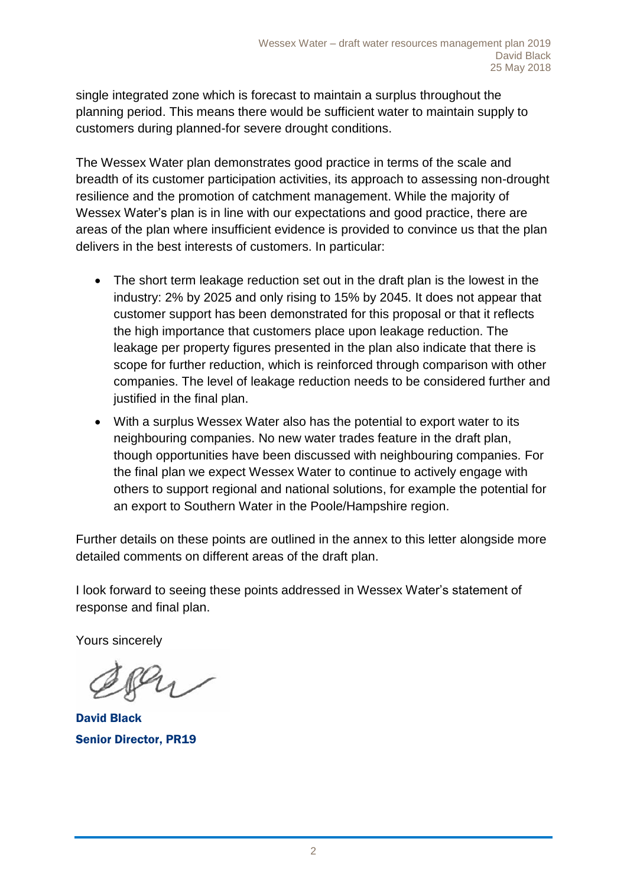single integrated zone which is forecast to maintain a surplus throughout the planning period. This means there would be sufficient water to maintain supply to customers during planned-for severe drought conditions.

The Wessex Water plan demonstrates good practice in terms of the scale and breadth of its customer participation activities, its approach to assessing non-drought resilience and the promotion of catchment management. While the majority of Wessex Water's plan is in line with our expectations and good practice, there are areas of the plan where insufficient evidence is provided to convince us that the plan delivers in the best interests of customers. In particular:

- The short term leakage reduction set out in the draft plan is the lowest in the industry: 2% by 2025 and only rising to 15% by 2045. It does not appear that customer support has been demonstrated for this proposal or that it reflects the high importance that customers place upon leakage reduction. The leakage per property figures presented in the plan also indicate that there is scope for further reduction, which is reinforced through comparison with other companies. The level of leakage reduction needs to be considered further and justified in the final plan.
- With a surplus Wessex Water also has the potential to export water to its neighbouring companies. No new water trades feature in the draft plan, though opportunities have been discussed with neighbouring companies. For the final plan we expect Wessex Water to continue to actively engage with others to support regional and national solutions, for example the potential for an export to Southern Water in the Poole/Hampshire region.

Further details on these points are outlined in the annex to this letter alongside more detailed comments on different areas of the draft plan.

I look forward to seeing these points addressed in Wessex Water's statement of response and final plan.

Yours sincerely

David Black Senior Director, PR19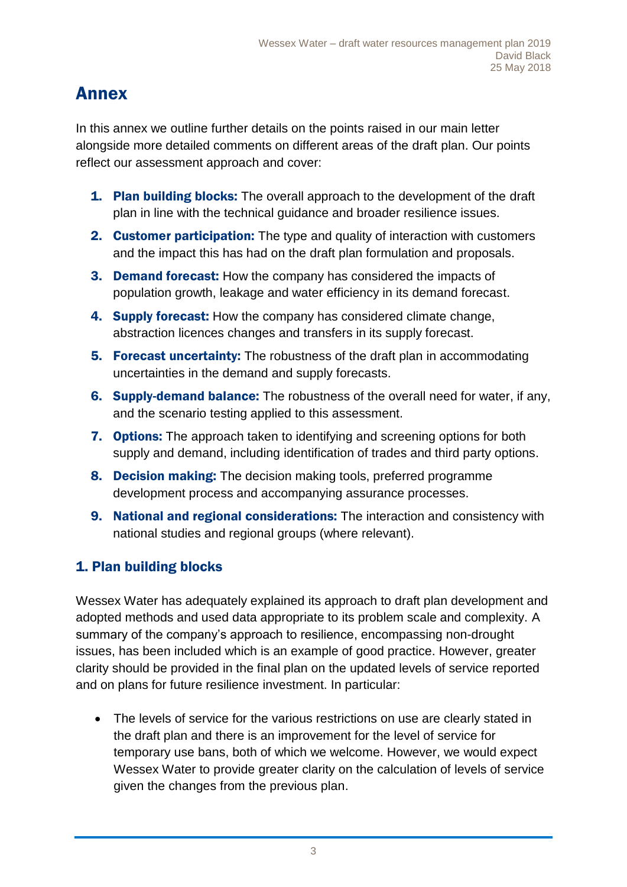# Annex

In this annex we outline further details on the points raised in our main letter alongside more detailed comments on different areas of the draft plan. Our points reflect our assessment approach and cover:

- **1. Plan building blocks:** The overall approach to the development of the draft plan in line with the technical guidance and broader resilience issues.
- 2. Customer participation: The type and quality of interaction with customers and the impact this has had on the draft plan formulation and proposals.
- 3. Demand forecast: How the company has considered the impacts of population growth, leakage and water efficiency in its demand forecast.
- 4. Supply forecast: How the company has considered climate change, abstraction licences changes and transfers in its supply forecast.
- **5. Forecast uncertainty:** The robustness of the draft plan in accommodating uncertainties in the demand and supply forecasts.
- 6. Supply-demand balance: The robustness of the overall need for water, if any, and the scenario testing applied to this assessment.
- **7. Options:** The approach taken to identifying and screening options for both supply and demand, including identification of trades and third party options.
- 8. Decision making: The decision making tools, preferred programme development process and accompanying assurance processes.
- 9. National and regional considerations: The interaction and consistency with national studies and regional groups (where relevant).

# 1. Plan building blocks

Wessex Water has adequately explained its approach to draft plan development and adopted methods and used data appropriate to its problem scale and complexity. A summary of the company's approach to resilience, encompassing non-drought issues, has been included which is an example of good practice. However, greater clarity should be provided in the final plan on the updated levels of service reported and on plans for future resilience investment. In particular:

• The levels of service for the various restrictions on use are clearly stated in the draft plan and there is an improvement for the level of service for temporary use bans, both of which we welcome. However, we would expect Wessex Water to provide greater clarity on the calculation of levels of service given the changes from the previous plan.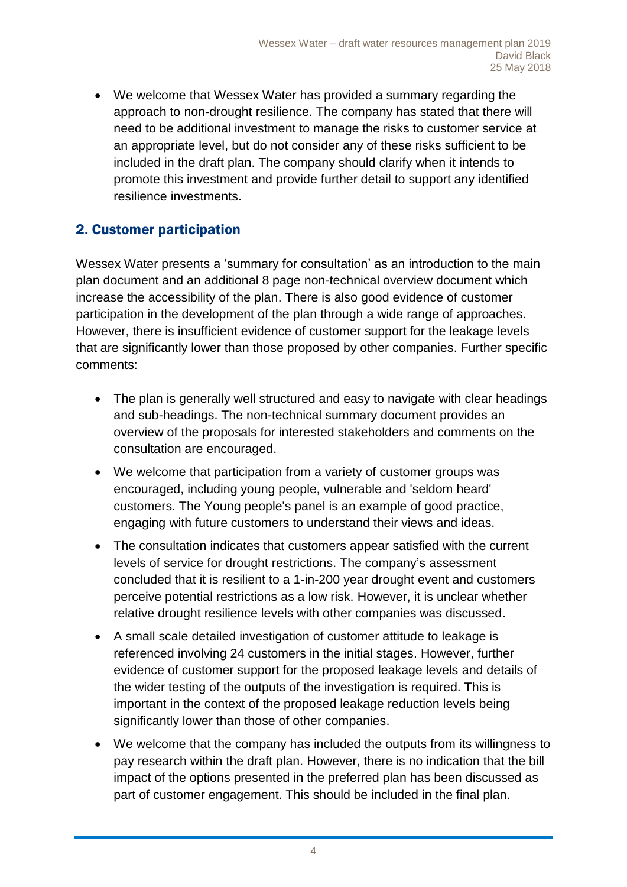We welcome that Wessex Water has provided a summary regarding the approach to non-drought resilience. The company has stated that there will need to be additional investment to manage the risks to customer service at an appropriate level, but do not consider any of these risks sufficient to be included in the draft plan. The company should clarify when it intends to promote this investment and provide further detail to support any identified resilience investments.

# 2. Customer participation

Wessex Water presents a 'summary for consultation' as an introduction to the main plan document and an additional 8 page non-technical overview document which increase the accessibility of the plan. There is also good evidence of customer participation in the development of the plan through a wide range of approaches. However, there is insufficient evidence of customer support for the leakage levels that are significantly lower than those proposed by other companies. Further specific comments:

- The plan is generally well structured and easy to navigate with clear headings and sub-headings. The non-technical summary document provides an overview of the proposals for interested stakeholders and comments on the consultation are encouraged.
- We welcome that participation from a variety of customer groups was encouraged, including young people, vulnerable and 'seldom heard' customers. The Young people's panel is an example of good practice, engaging with future customers to understand their views and ideas.
- The consultation indicates that customers appear satisfied with the current levels of service for drought restrictions. The company's assessment concluded that it is resilient to a 1-in-200 year drought event and customers perceive potential restrictions as a low risk. However, it is unclear whether relative drought resilience levels with other companies was discussed.
- A small scale detailed investigation of customer attitude to leakage is referenced involving 24 customers in the initial stages. However, further evidence of customer support for the proposed leakage levels and details of the wider testing of the outputs of the investigation is required. This is important in the context of the proposed leakage reduction levels being significantly lower than those of other companies.
- We welcome that the company has included the outputs from its willingness to pay research within the draft plan. However, there is no indication that the bill impact of the options presented in the preferred plan has been discussed as part of customer engagement. This should be included in the final plan.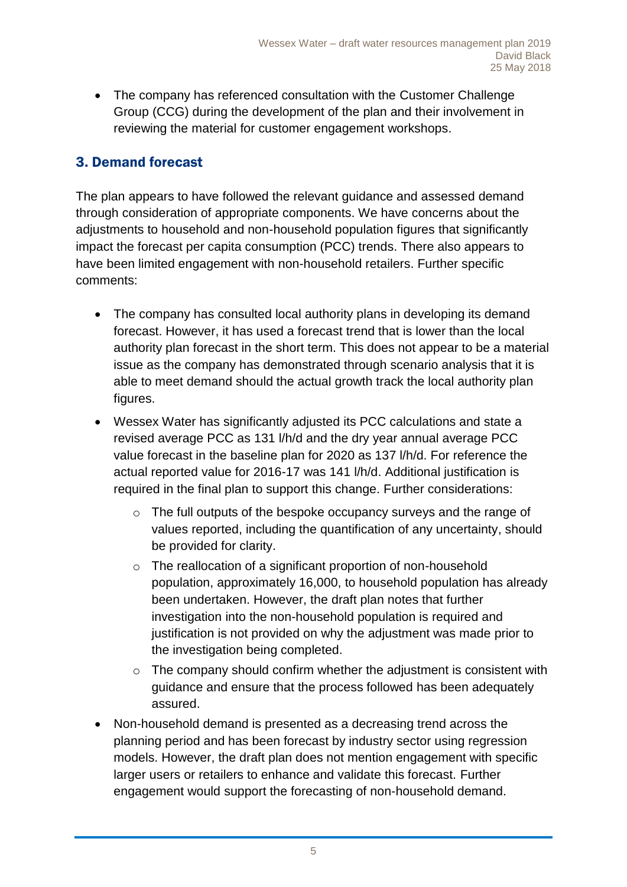• The company has referenced consultation with the Customer Challenge Group (CCG) during the development of the plan and their involvement in reviewing the material for customer engagement workshops.

# 3. Demand forecast

The plan appears to have followed the relevant guidance and assessed demand through consideration of appropriate components. We have concerns about the adjustments to household and non-household population figures that significantly impact the forecast per capita consumption (PCC) trends. There also appears to have been limited engagement with non-household retailers. Further specific comments:

- The company has consulted local authority plans in developing its demand forecast. However, it has used a forecast trend that is lower than the local authority plan forecast in the short term. This does not appear to be a material issue as the company has demonstrated through scenario analysis that it is able to meet demand should the actual growth track the local authority plan figures.
- Wessex Water has significantly adjusted its PCC calculations and state a revised average PCC as 131 l/h/d and the dry year annual average PCC value forecast in the baseline plan for 2020 as 137 l/h/d. For reference the actual reported value for 2016-17 was 141 l/h/d. Additional justification is required in the final plan to support this change. Further considerations:
	- o The full outputs of the bespoke occupancy surveys and the range of values reported, including the quantification of any uncertainty, should be provided for clarity.
	- o The reallocation of a significant proportion of non-household population, approximately 16,000, to household population has already been undertaken. However, the draft plan notes that further investigation into the non-household population is required and justification is not provided on why the adjustment was made prior to the investigation being completed.
	- $\circ$  The company should confirm whether the adjustment is consistent with guidance and ensure that the process followed has been adequately assured.
- Non-household demand is presented as a decreasing trend across the planning period and has been forecast by industry sector using regression models. However, the draft plan does not mention engagement with specific larger users or retailers to enhance and validate this forecast. Further engagement would support the forecasting of non-household demand.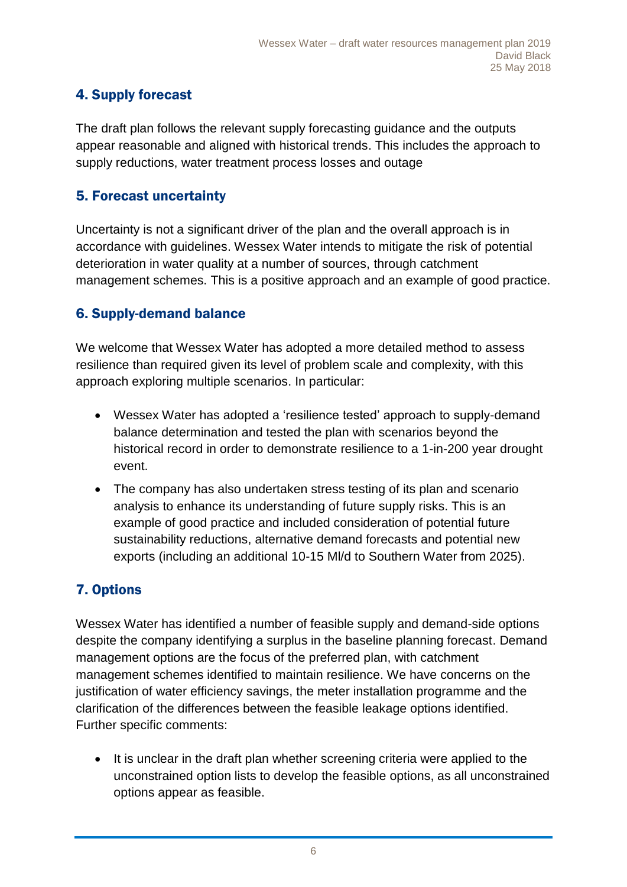# 4. Supply forecast

The draft plan follows the relevant supply forecasting guidance and the outputs appear reasonable and aligned with historical trends. This includes the approach to supply reductions, water treatment process losses and outage

### 5. Forecast uncertainty

Uncertainty is not a significant driver of the plan and the overall approach is in accordance with guidelines. Wessex Water intends to mitigate the risk of potential deterioration in water quality at a number of sources, through catchment management schemes. This is a positive approach and an example of good practice.

#### 6. Supply-demand balance

We welcome that Wessex Water has adopted a more detailed method to assess resilience than required given its level of problem scale and complexity, with this approach exploring multiple scenarios. In particular:

- Wessex Water has adopted a 'resilience tested' approach to supply-demand balance determination and tested the plan with scenarios beyond the historical record in order to demonstrate resilience to a 1-in-200 year drought event.
- The company has also undertaken stress testing of its plan and scenario analysis to enhance its understanding of future supply risks. This is an example of good practice and included consideration of potential future sustainability reductions, alternative demand forecasts and potential new exports (including an additional 10-15 Ml/d to Southern Water from 2025).

# 7. Options

Wessex Water has identified a number of feasible supply and demand-side options despite the company identifying a surplus in the baseline planning forecast. Demand management options are the focus of the preferred plan, with catchment management schemes identified to maintain resilience. We have concerns on the justification of water efficiency savings, the meter installation programme and the clarification of the differences between the feasible leakage options identified. Further specific comments:

• It is unclear in the draft plan whether screening criteria were applied to the unconstrained option lists to develop the feasible options, as all unconstrained options appear as feasible.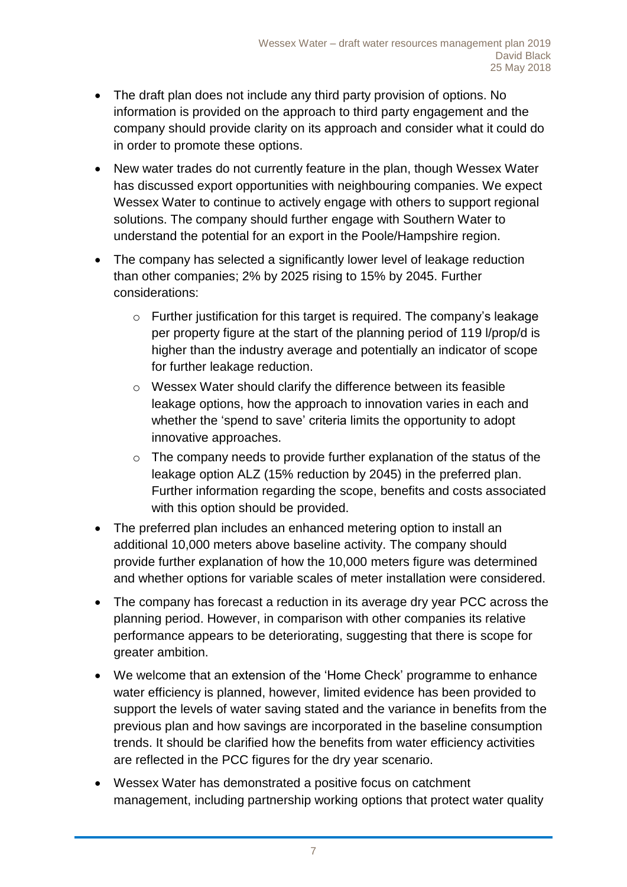- The draft plan does not include any third party provision of options. No information is provided on the approach to third party engagement and the company should provide clarity on its approach and consider what it could do in order to promote these options.
- New water trades do not currently feature in the plan, though Wessex Water has discussed export opportunities with neighbouring companies. We expect Wessex Water to continue to actively engage with others to support regional solutions. The company should further engage with Southern Water to understand the potential for an export in the Poole/Hampshire region.
- The company has selected a significantly lower level of leakage reduction than other companies; 2% by 2025 rising to 15% by 2045. Further considerations:
	- o Further justification for this target is required. The company's leakage per property figure at the start of the planning period of 119 l/prop/d is higher than the industry average and potentially an indicator of scope for further leakage reduction.
	- o Wessex Water should clarify the difference between its feasible leakage options, how the approach to innovation varies in each and whether the 'spend to save' criteria limits the opportunity to adopt innovative approaches.
	- o The company needs to provide further explanation of the status of the leakage option ALZ (15% reduction by 2045) in the preferred plan. Further information regarding the scope, benefits and costs associated with this option should be provided.
- The preferred plan includes an enhanced metering option to install an additional 10,000 meters above baseline activity. The company should provide further explanation of how the 10,000 meters figure was determined and whether options for variable scales of meter installation were considered.
- The company has forecast a reduction in its average dry year PCC across the planning period. However, in comparison with other companies its relative performance appears to be deteriorating, suggesting that there is scope for greater ambition.
- We welcome that an extension of the 'Home Check' programme to enhance water efficiency is planned, however, limited evidence has been provided to support the levels of water saving stated and the variance in benefits from the previous plan and how savings are incorporated in the baseline consumption trends. It should be clarified how the benefits from water efficiency activities are reflected in the PCC figures for the dry year scenario.
- Wessex Water has demonstrated a positive focus on catchment management, including partnership working options that protect water quality